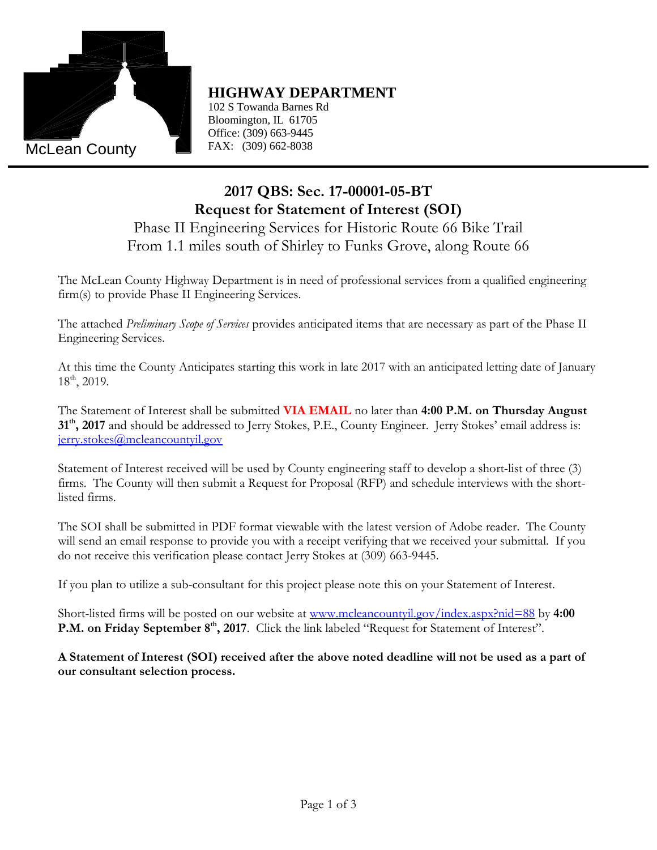

## **HIGHWAY DEPARTMENT**

102 S Towanda Barnes Rd  $E = 5$  Foldman Cannos Fig.  $1000 \text{ mJ}$  S. Toward R. Toward R. Toward R. Toward R. Toward R. Toward R. Toward R. Toward R. Toward R. Toward R. Toward R. Toward R. Toward R. Toward R. Toward R. Toward R. Toward R. Toward R. Toward R. Toward R. Towar Office: (309) 663-9445 FAX: (309) 662-8038

# **2017 QBS: Sec. 17-00001-05-BT Request for Statement of Interest (SOI)**

## Phase II Engineering Services for Historic Route 66 Bike Trail From 1.1 miles south of Shirley to Funks Grove, along Route 66

The McLean County Highway Department is in need of professional services from a qualified engineering firm(s) to provide Phase II Engineering Services.

The attached *Preliminary Scope of Services* provides anticipated items that are necessary as part of the Phase II Engineering Services.

At this time the County Anticipates starting this work in late 2017 with an anticipated letting date of January  $18^{\text{th}}$ , 2019.

The Statement of Interest shall be submitted **VIA EMAIL** no later than **4:00 P.M. on Thursday August 31th, 2017** and should be addressed to Jerry Stokes, P.E., County Engineer. Jerry Stokes' email address is: [jerry.stokes@mcleancountyil.gov](mailto:jerry.stokes@mcleancountyil.gov)

Statement of Interest received will be used by County engineering staff to develop a short-list of three (3) firms. The County will then submit a Request for Proposal (RFP) and schedule interviews with the shortlisted firms.

**HIGHWAY DEPARTI**<br>
102 S Towanda Barnes Rd<br>
Bloomington, IL 61705<br>
Office: (309) 663-9445<br>
FAX: (309) 662-8038<br> **2017 QBS: Sec. 17-0**<br>
equest for Statement to<br>
gineering Services for H<br>
les south of Shirley to Fund<br>
ple S The SOI shall be submitted in PDF format viewable with the latest version of Adobe reader. The County will send an email response to provide you with a receipt verifying that we received your submittal. If you do not receive this verification please contact Jerry Stokes at (309) 663-9445.

If you plan to utilize a sub-consultant for this project please note this on your Statement of Interest.

Short-listed firms will be posted on our website at [www.mcleancountyil.gov/index.aspx?nid=88](http://www.mcleancountyil.gov/index.aspx?nid=88) by **4:00 P.M. on Friday September 8<sup>th</sup>, 2017**. Click the link labeled "Request for Statement of Interest".

**A Statement of Interest (SOI) received after the above noted deadline will not be used as a part of our consultant selection process.**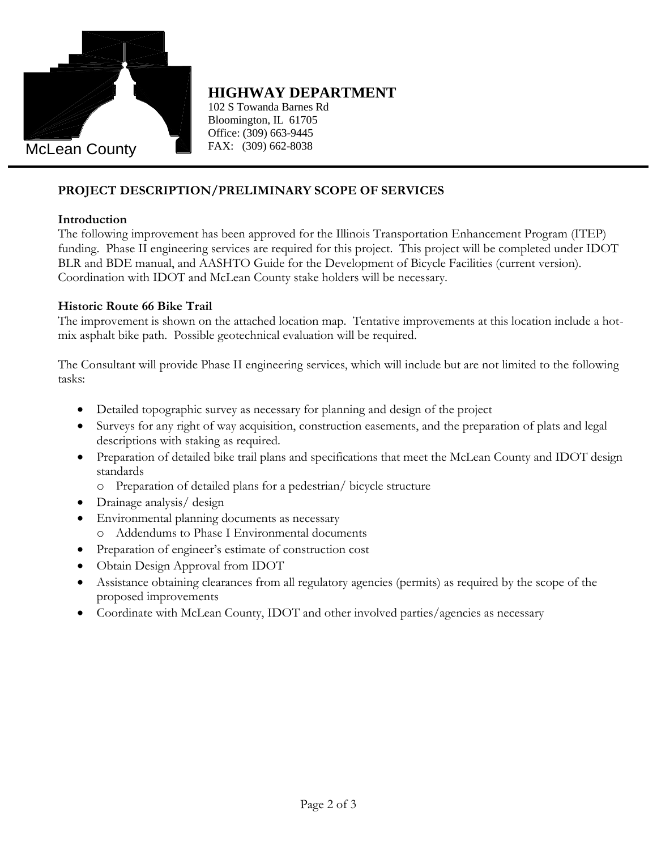

### **HIGHWAY DEPARTMENT**

102 S Towanda Barnes Rd  $E = 5$  Foldman Cannos Fig.  $1000 \text{ mJ}$  S. Toward R. Toward R. Toward R. Toward R. Toward R. Toward R. Toward R. Toward R. Toward R. Toward R. Toward R. Toward R. Toward R. Toward R. Toward R. Toward R. Toward R. Toward R. Toward R. Toward R. Towar Office: (309) 663-9445 FAX: (309) 662-8038

### **PROJECT DESCRIPTION/PRELIMINARY SCOPE OF SERVICES**

#### **Introduction**

HIGHWAY DEPARTI<br>
102 S Towanda Barnes Rd<br>
Bloomington, IL 61705<br>
Office: (309) 663-9445<br>
FAX: (309) 662-8038<br>
FAX: (309) 662-8038<br>
V/PRELIMINARY SCOPE<br>
nas been approved for the Illin<br>
3 services are required for this 1<br>
3 The following improvement has been approved for the Illinois Transportation Enhancement Program (ITEP) funding. Phase II engineering services are required for this project. This project will be completed under IDOT BLR and BDE manual, and AASHTO Guide for the Development of Bicycle Facilities (current version). Coordination with IDOT and McLean County stake holders will be necessary.

#### **Historic Route 66 Bike Trail**

The improvement is shown on the attached location map. Tentative improvements at this location include a hotmix asphalt bike path. Possible geotechnical evaluation will be required.

The Consultant will provide Phase II engineering services, which will include but are not limited to the following tasks:

- Detailed topographic survey as necessary for planning and design of the project
- Surveys for any right of way acquisition, construction easements, and the preparation of plats and legal descriptions with staking as required.
- Preparation of detailed bike trail plans and specifications that meet the McLean County and IDOT design standards
	- o Preparation of detailed plans for a pedestrian/ bicycle structure
- Drainage analysis/ design
- Environmental planning documents as necessary
	- o Addendums to Phase I Environmental documents
- Preparation of engineer's estimate of construction cost
- Obtain Design Approval from IDOT
- Assistance obtaining clearances from all regulatory agencies (permits) as required by the scope of the proposed improvements
- Coordinate with McLean County, IDOT and other involved parties/agencies as necessary